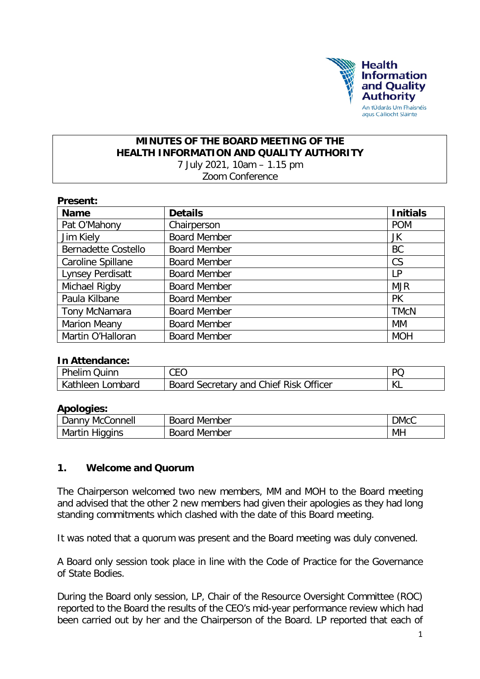

#### **MINUTES OF THE BOARD MEETING OF THE HEALTH INFORMATION AND QUALITY AUTHORITY** 7 July 2021, 10am – 1.15 pm Zoom Conference

| Present:                   |                     |                 |  |
|----------------------------|---------------------|-----------------|--|
| <b>Name</b>                | <b>Details</b>      | <b>Initials</b> |  |
| Pat O'Mahony               | Chairperson         | <b>POM</b>      |  |
| Jim Kiely                  | <b>Board Member</b> | JK              |  |
| <b>Bernadette Costello</b> | <b>Board Member</b> | <b>BC</b>       |  |
| Caroline Spillane          | <b>Board Member</b> | CS              |  |
| <b>Lynsey Perdisatt</b>    | <b>Board Member</b> | LP              |  |
| Michael Rigby              | <b>Board Member</b> | <b>MJR</b>      |  |
| Paula Kilbane              | <b>Board Member</b> | <b>PK</b>       |  |
| Tony McNamara              | <b>Board Member</b> | <b>TMcN</b>     |  |
| <b>Marion Meany</b>        | <b>Board Member</b> | МM              |  |
| Martin O'Halloran          | <b>Board Member</b> | <b>MOH</b>      |  |

#### **In Attendance:**

| Phelim (<br>Quinn     | CEO                                    | DC |
|-----------------------|----------------------------------------|----|
| Kathleen L<br>Lombard | Board Secretary and Chief Risk Officer | Ⅳ  |

#### **Apologies:**

| McConnell<br>Danny       | <b>Board</b><br>. Member | <b>DMcC</b> |
|--------------------------|--------------------------|-------------|
| Martin<br><b>Higgins</b> | <b>Board</b><br>Member   | MH          |

#### **1. Welcome and Quorum**

The Chairperson welcomed two new members, MM and MOH to the Board meeting and advised that the other 2 new members had given their apologies as they had long standing commitments which clashed with the date of this Board meeting.

It was noted that a quorum was present and the Board meeting was duly convened.

A Board only session took place in line with the Code of Practice for the Governance of State Bodies.

During the Board only session, LP, Chair of the Resource Oversight Committee (ROC) reported to the Board the results of the CEO's mid-year performance review which had been carried out by her and the Chairperson of the Board. LP reported that each of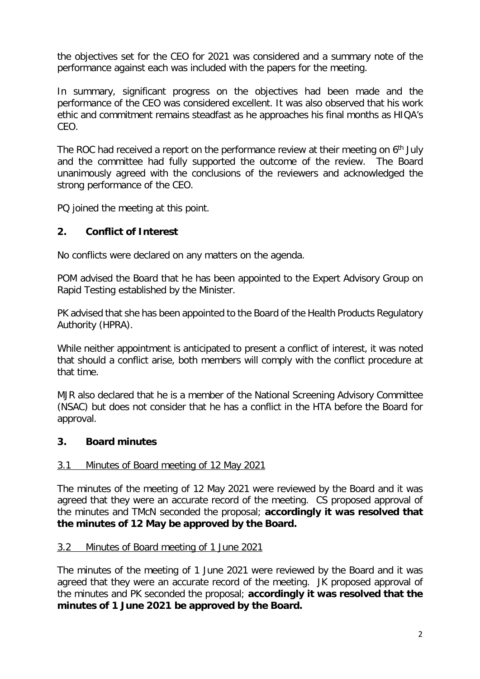the objectives set for the CEO for 2021 was considered and a summary note of the performance against each was included with the papers for the meeting.

In summary, significant progress on the objectives had been made and the performance of the CEO was considered excellent. It was also observed that his work ethic and commitment remains steadfast as he approaches his final months as HIQA's CEO.

The ROC had received a report on the performance review at their meeting on 6<sup>th</sup> July and the committee had fully supported the outcome of the review. The Board unanimously agreed with the conclusions of the reviewers and acknowledged the strong performance of the CEO.

PQ joined the meeting at this point.

### **2. Conflict of Interest**

No conflicts were declared on any matters on the agenda.

POM advised the Board that he has been appointed to the Expert Advisory Group on Rapid Testing established by the Minister.

PK advised that she has been appointed to the Board of the Health Products Regulatory Authority (HPRA).

While neither appointment is anticipated to present a conflict of interest, it was noted that should a conflict arise, both members will comply with the conflict procedure at that time.

MJR also declared that he is a member of the National Screening Advisory Committee (NSAC) but does not consider that he has a conflict in the HTA before the Board for approval.

### **3. Board minutes**

### 3.1 Minutes of Board meeting of 12 May 2021

The minutes of the meeting of 12 May 2021 were reviewed by the Board and it was agreed that they were an accurate record of the meeting. CS proposed approval of the minutes and TMcN seconded the proposal; **accordingly it was resolved that the minutes of 12 May be approved by the Board.**

### 3.2 Minutes of Board meeting of 1 June 2021

The minutes of the meeting of 1 June 2021 were reviewed by the Board and it was agreed that they were an accurate record of the meeting. JK proposed approval of the minutes and PK seconded the proposal; **accordingly it was resolved that the minutes of 1 June 2021 be approved by the Board.**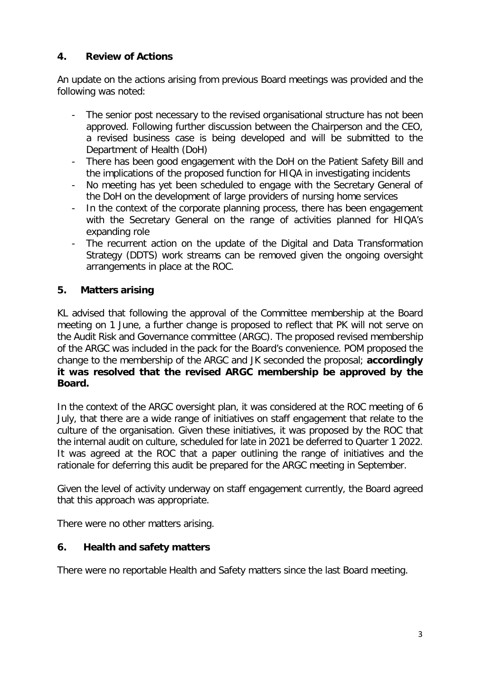## **4. Review of Actions**

An update on the actions arising from previous Board meetings was provided and the following was noted:

- The senior post necessary to the revised organisational structure has not been approved. Following further discussion between the Chairperson and the CEO, a revised business case is being developed and will be submitted to the Department of Health (DoH)
- There has been good engagement with the DoH on the Patient Safety Bill and the implications of the proposed function for HIQA in investigating incidents
- No meeting has yet been scheduled to engage with the Secretary General of the DoH on the development of large providers of nursing home services
- In the context of the corporate planning process, there has been engagement with the Secretary General on the range of activities planned for HIQA's expanding role
- The recurrent action on the update of the Digital and Data Transformation Strategy (DDTS) work streams can be removed given the ongoing oversight arrangements in place at the ROC.

# **5. Matters arising**

KL advised that following the approval of the Committee membership at the Board meeting on 1 June, a further change is proposed to reflect that PK will not serve on the Audit Risk and Governance committee (ARGC). The proposed revised membership of the ARGC was included in the pack for the Board's convenience. POM proposed the change to the membership of the ARGC and JK seconded the proposal; **accordingly it was resolved that the revised ARGC membership be approved by the Board.**

In the context of the ARGC oversight plan, it was considered at the ROC meeting of 6 July, that there are a wide range of initiatives on staff engagement that relate to the culture of the organisation. Given these initiatives, it was proposed by the ROC that the internal audit on culture, scheduled for late in 2021 be deferred to Quarter 1 2022. It was agreed at the ROC that a paper outlining the range of initiatives and the rationale for deferring this audit be prepared for the ARGC meeting in September.

Given the level of activity underway on staff engagement currently, the Board agreed that this approach was appropriate.

There were no other matters arising.

## **6. Health and safety matters**

There were no reportable Health and Safety matters since the last Board meeting.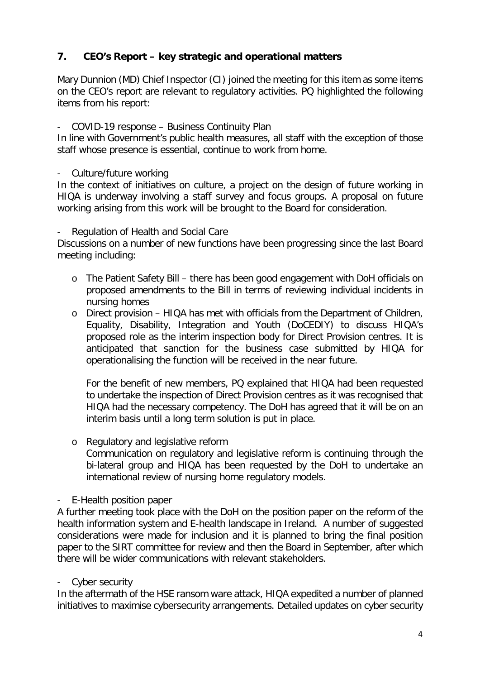# **7. CEO's Report – key strategic and operational matters**

Mary Dunnion (MD) Chief Inspector (CI) joined the meeting for this item as some items on the CEO's report are relevant to regulatory activities. PQ highlighted the following items from his report:

#### - COVID-19 response – Business Continuity Plan

In line with Government's public health measures, all staff with the exception of those staff whose presence is essential, continue to work from home.

- Culture/future working

In the context of initiatives on culture, a project on the design of future working in HIQA is underway involving a staff survey and focus groups. A proposal on future working arising from this work will be brought to the Board for consideration.

#### Regulation of Health and Social Care

Discussions on a number of new functions have been progressing since the last Board meeting including:

- o The Patient Safety Bill there has been good engagement with DoH officials on proposed amendments to the Bill in terms of reviewing individual incidents in nursing homes
- o Direct provision HIQA has met with officials from the Department of Children, Equality, Disability, Integration and Youth (DoCEDIY) to discuss HIQA's proposed role as the interim inspection body for Direct Provision centres. It is anticipated that sanction for the business case submitted by HIQA for operationalising the function will be received in the near future.

For the benefit of new members, PQ explained that HIQA had been requested to undertake the inspection of Direct Provision centres as it was recognised that HIQA had the necessary competency. The DoH has agreed that it will be on an interim basis until a long term solution is put in place.

o Regulatory and legislative reform Communication on regulatory and legislative reform is continuing through the bi-lateral group and HIQA has been requested by the DoH to undertake an international review of nursing home regulatory models.

### - E-Health position paper

A further meeting took place with the DoH on the position paper on the reform of the health information system and E-health landscape in Ireland. A number of suggested considerations were made for inclusion and it is planned to bring the final position paper to the SIRT committee for review and then the Board in September, after which there will be wider communications with relevant stakeholders.

Cyber security

In the aftermath of the HSE ransom ware attack, HIQA expedited a number of planned initiatives to maximise cybersecurity arrangements. Detailed updates on cyber security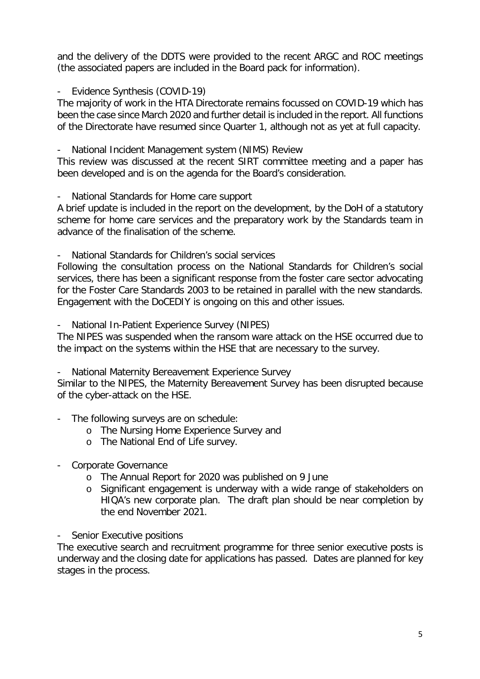and the delivery of the DDTS were provided to the recent ARGC and ROC meetings (the associated papers are included in the Board pack for information).

Evidence Synthesis (COVID-19)

The majority of work in the HTA Directorate remains focussed on COVID-19 which has been the case since March 2020 and further detail is included in the report. All functions of the Directorate have resumed since Quarter 1, although not as yet at full capacity.

National Incident Management system (NIMS) Review

This review was discussed at the recent SIRT committee meeting and a paper has been developed and is on the agenda for the Board's consideration.

- National Standards for Home care support

A brief update is included in the report on the development, by the DoH of a statutory scheme for home care services and the preparatory work by the Standards team in advance of the finalisation of the scheme.

- National Standards for Children's social services

Following the consultation process on the National Standards for Children's social services, there has been a significant response from the foster care sector advocating for the Foster Care Standards 2003 to be retained in parallel with the new standards. Engagement with the DoCEDIY is ongoing on this and other issues.

National In-Patient Experience Survey (NIPES)

The NIPES was suspended when the ransom ware attack on the HSE occurred due to the impact on the systems within the HSE that are necessary to the survey.

- National Maternity Bereavement Experience Survey

Similar to the NIPES, the Maternity Bereavement Survey has been disrupted because of the cyber-attack on the HSE.

- The following surveys are on schedule:
	- o The Nursing Home Experience Survey and
	- o The National End of Life survey.
- Corporate Governance
	- o The Annual Report for 2020 was published on 9 June
	- o Significant engagement is underway with a wide range of stakeholders on HIQA's new corporate plan. The draft plan should be near completion by the end November 2021.

- Senior Executive positions

The executive search and recruitment programme for three senior executive posts is underway and the closing date for applications has passed. Dates are planned for key stages in the process.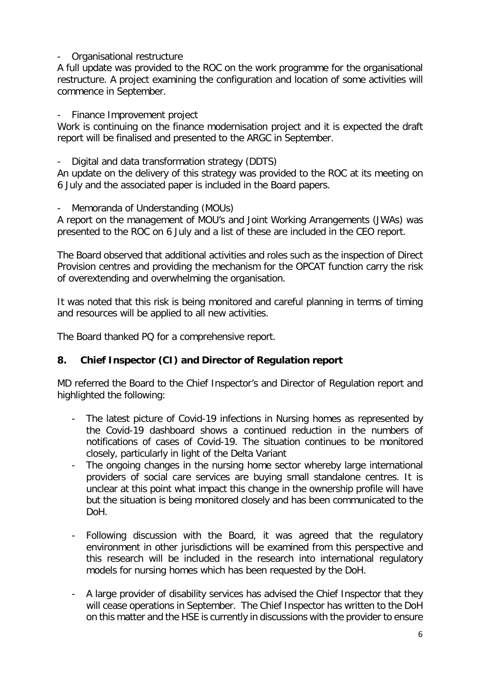### - Organisational restructure

A full update was provided to the ROC on the work programme for the organisational restructure. A project examining the configuration and location of some activities will commence in September.

### Finance Improvement project

Work is continuing on the finance modernisation project and it is expected the draft report will be finalised and presented to the ARGC in September.

Digital and data transformation strategy (DDTS)

An update on the delivery of this strategy was provided to the ROC at its meeting on 6 July and the associated paper is included in the Board papers.

Memoranda of Understanding (MOUs)

A report on the management of MOU's and Joint Working Arrangements (JWAs) was presented to the ROC on 6 July and a list of these are included in the CEO report.

The Board observed that additional activities and roles such as the inspection of Direct Provision centres and providing the mechanism for the OPCAT function carry the risk of overextending and overwhelming the organisation.

It was noted that this risk is being monitored and careful planning in terms of timing and resources will be applied to all new activities.

The Board thanked PQ for a comprehensive report.

### **8. Chief Inspector (CI) and Director of Regulation report**

MD referred the Board to the Chief Inspector's and Director of Regulation report and highlighted the following:

- The latest picture of Covid-19 infections in Nursing homes as represented by the Covid-19 dashboard shows a continued reduction in the numbers of notifications of cases of Covid-19. The situation continues to be monitored closely, particularly in light of the Delta Variant
- The ongoing changes in the nursing home sector whereby large international providers of social care services are buying small standalone centres. It is unclear at this point what impact this change in the ownership profile will have but the situation is being monitored closely and has been communicated to the DoH.
- Following discussion with the Board, it was agreed that the regulatory environment in other jurisdictions will be examined from this perspective and this research will be included in the research into international regulatory models for nursing homes which has been requested by the DoH.
- A large provider of disability services has advised the Chief Inspector that they will cease operations in September. The Chief Inspector has written to the DoH on this matter and the HSE is currently in discussions with the provider to ensure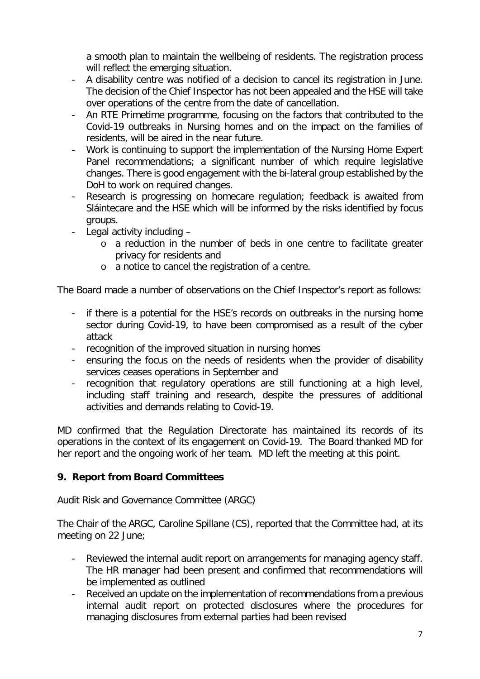a smooth plan to maintain the wellbeing of residents. The registration process will reflect the emerging situation.

- A disability centre was notified of a decision to cancel its registration in June. The decision of the Chief Inspector has not been appealed and the HSE will take over operations of the centre from the date of cancellation.
- An RTE Primetime programme, focusing on the factors that contributed to the Covid-19 outbreaks in Nursing homes and on the impact on the families of residents, will be aired in the near future.
- Work is continuing to support the implementation of the Nursing Home Expert Panel recommendations; a significant number of which require legislative changes. There is good engagement with the bi-lateral group established by the DoH to work on required changes.
- Research is progressing on homecare regulation; feedback is awaited from Sláintecare and the HSE which will be informed by the risks identified by focus groups.
- Legal activity including
	- o a reduction in the number of beds in one centre to facilitate greater privacy for residents and
	- o a notice to cancel the registration of a centre.

The Board made a number of observations on the Chief Inspector's report as follows:

- if there is a potential for the HSE's records on outbreaks in the nursing home sector during Covid-19, to have been compromised as a result of the cyber attack
- recognition of the improved situation in nursing homes
- ensuring the focus on the needs of residents when the provider of disability services ceases operations in September and
- recognition that regulatory operations are still functioning at a high level, including staff training and research, despite the pressures of additional activities and demands relating to Covid-19.

MD confirmed that the Regulation Directorate has maintained its records of its operations in the context of its engagement on Covid-19. The Board thanked MD for her report and the ongoing work of her team. MD left the meeting at this point.

## **9. Report from Board Committees**

### Audit Risk and Governance Committee (ARGC)

The Chair of the ARGC, Caroline Spillane (CS), reported that the Committee had, at its meeting on 22 June;

- Reviewed the internal audit report on arrangements for managing agency staff. The HR manager had been present and confirmed that recommendations will be implemented as outlined
- Received an update on the implementation of recommendations from a previous internal audit report on protected disclosures where the procedures for managing disclosures from external parties had been revised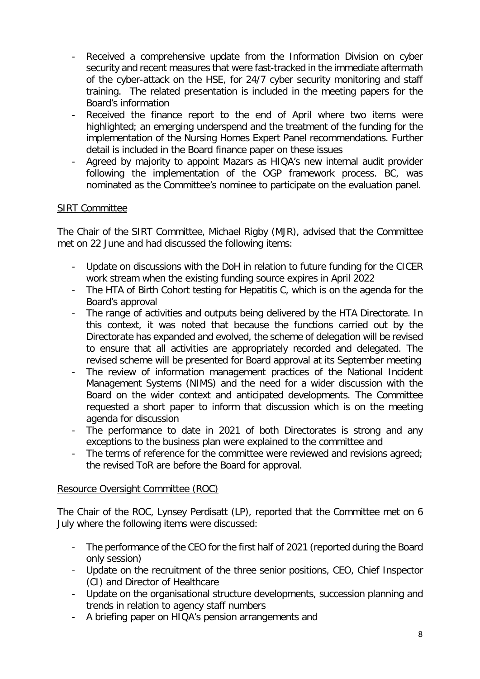- Received a comprehensive update from the Information Division on cyber security and recent measures that were fast-tracked in the immediate aftermath of the cyber-attack on the HSE, for 24/7 cyber security monitoring and staff training. The related presentation is included in the meeting papers for the Board's information
- Received the finance report to the end of April where two items were highlighted; an emerging underspend and the treatment of the funding for the implementation of the Nursing Homes Expert Panel recommendations. Further detail is included in the Board finance paper on these issues
- Agreed by majority to appoint Mazars as HIQA's new internal audit provider following the implementation of the OGP framework process. BC, was nominated as the Committee's nominee to participate on the evaluation panel.

### SIRT Committee

The Chair of the SIRT Committee, Michael Rigby (MJR), advised that the Committee met on 22 June and had discussed the following items:

- Update on discussions with the DoH in relation to future funding for the CICER work stream when the existing funding source expires in April 2022
- The HTA of Birth Cohort testing for Hepatitis C, which is on the agenda for the Board's approval
- The range of activities and outputs being delivered by the HTA Directorate. In this context, it was noted that because the functions carried out by the Directorate has expanded and evolved, the scheme of delegation will be revised to ensure that all activities are appropriately recorded and delegated. The revised scheme will be presented for Board approval at its September meeting
- The review of information management practices of the National Incident Management Systems (NIMS) and the need for a wider discussion with the Board on the wider context and anticipated developments. The Committee requested a short paper to inform that discussion which is on the meeting agenda for discussion
- The performance to date in 2021 of both Directorates is strong and any exceptions to the business plan were explained to the committee and
- The terms of reference for the committee were reviewed and revisions agreed; the revised ToR are before the Board for approval.

### Resource Oversight Committee (ROC)

The Chair of the ROC, Lynsey Perdisatt (LP), reported that the Committee met on 6 July where the following items were discussed:

- The performance of the CEO for the first half of 2021 (reported during the Board only session)
- Update on the recruitment of the three senior positions, CEO, Chief Inspector (CI) and Director of Healthcare
- Update on the organisational structure developments, succession planning and trends in relation to agency staff numbers
- A briefing paper on HIQA's pension arrangements and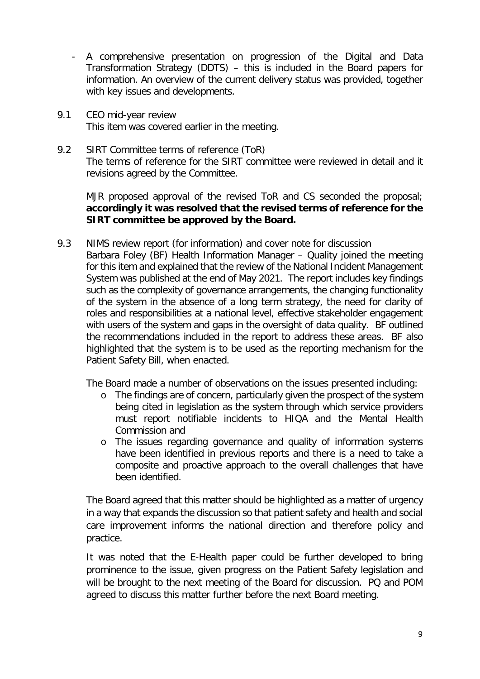- A comprehensive presentation on progression of the Digital and Data Transformation Strategy (DDTS) – this is included in the Board papers for information. An overview of the current delivery status was provided, together with key issues and developments.
- 9.1 CEO mid-year review This item was covered earlier in the meeting.
- 9.2 SIRT Committee terms of reference (ToR) The terms of reference for the SIRT committee were reviewed in detail and it revisions agreed by the Committee.

MJR proposed approval of the revised ToR and CS seconded the proposal; **accordingly it was resolved that the revised terms of reference for the SIRT committee be approved by the Board.**

9.3 NIMS review report (for information) and cover note for discussion Barbara Foley (BF) Health Information Manager – Quality joined the meeting for this item and explained that the review of the National Incident Management System was published at the end of May 2021. The report includes key findings such as the complexity of governance arrangements, the changing functionality of the system in the absence of a long term strategy, the need for clarity of roles and responsibilities at a national level, effective stakeholder engagement with users of the system and gaps in the oversight of data quality. BF outlined the recommendations included in the report to address these areas. BF also highlighted that the system is to be used as the reporting mechanism for the Patient Safety Bill, when enacted.

The Board made a number of observations on the issues presented including:

- o The findings are of concern, particularly given the prospect of the system being cited in legislation as the system through which service providers must report notifiable incidents to HIQA and the Mental Health Commission and
- o The issues regarding governance and quality of information systems have been identified in previous reports and there is a need to take a composite and proactive approach to the overall challenges that have been identified.

The Board agreed that this matter should be highlighted as a matter of urgency in a way that expands the discussion so that patient safety and health and social care improvement informs the national direction and therefore policy and practice.

It was noted that the E-Health paper could be further developed to bring prominence to the issue, given progress on the Patient Safety legislation and will be brought to the next meeting of the Board for discussion. PQ and POM agreed to discuss this matter further before the next Board meeting.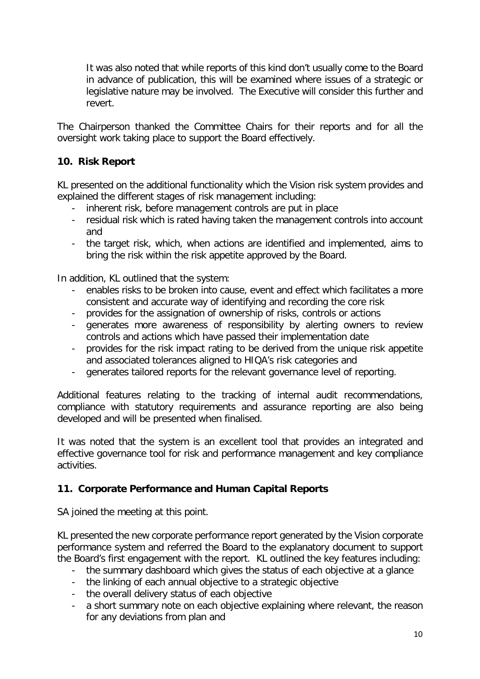It was also noted that while reports of this kind don't usually come to the Board in advance of publication, this will be examined where issues of a strategic or legislative nature may be involved. The Executive will consider this further and revert.

The Chairperson thanked the Committee Chairs for their reports and for all the oversight work taking place to support the Board effectively.

# **10. Risk Report**

KL presented on the additional functionality which the Vision risk system provides and explained the different stages of risk management including:

- inherent risk, before management controls are put in place
- residual risk which is rated having taken the management controls into account and
- the target risk, which, when actions are identified and implemented, aims to bring the risk within the risk appetite approved by the Board.

In addition, KL outlined that the system:

- enables risks to be broken into cause, event and effect which facilitates a more consistent and accurate way of identifying and recording the core risk
- provides for the assignation of ownership of risks, controls or actions
- generates more awareness of responsibility by alerting owners to review controls and actions which have passed their implementation date
- provides for the risk impact rating to be derived from the unique risk appetite and associated tolerances aligned to HIQA's risk categories and
- generates tailored reports for the relevant governance level of reporting.

Additional features relating to the tracking of internal audit recommendations, compliance with statutory requirements and assurance reporting are also being developed and will be presented when finalised.

It was noted that the system is an excellent tool that provides an integrated and effective governance tool for risk and performance management and key compliance activities.

## **11. Corporate Performance and Human Capital Reports**

SA joined the meeting at this point.

KL presented the new corporate performance report generated by the Vision corporate performance system and referred the Board to the explanatory document to support the Board's first engagement with the report. KL outlined the key features including:

- the summary dashboard which gives the status of each objective at a glance
- the linking of each annual objective to a strategic objective
- the overall delivery status of each objective
- a short summary note on each objective explaining where relevant, the reason for any deviations from plan and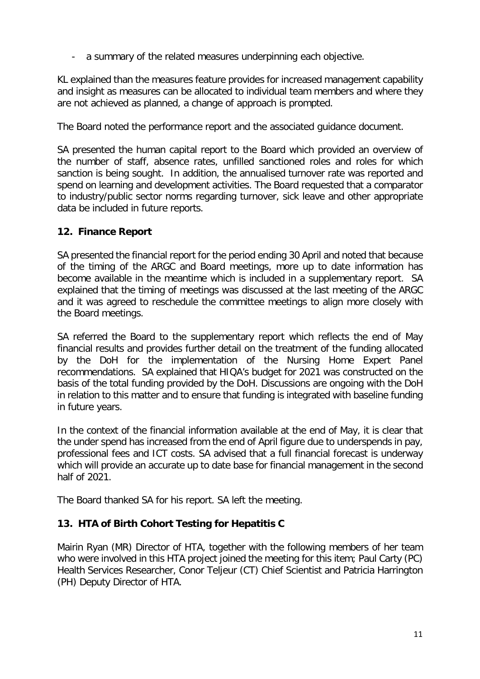- a summary of the related measures underpinning each objective.

KL explained than the measures feature provides for increased management capability and insight as measures can be allocated to individual team members and where they are not achieved as planned, a change of approach is prompted.

The Board noted the performance report and the associated guidance document.

SA presented the human capital report to the Board which provided an overview of the number of staff, absence rates, unfilled sanctioned roles and roles for which sanction is being sought. In addition, the annualised turnover rate was reported and spend on learning and development activities. The Board requested that a comparator to industry/public sector norms regarding turnover, sick leave and other appropriate data be included in future reports.

### **12. Finance Report**

SA presented the financial report for the period ending 30 April and noted that because of the timing of the ARGC and Board meetings, more up to date information has become available in the meantime which is included in a supplementary report. SA explained that the timing of meetings was discussed at the last meeting of the ARGC and it was agreed to reschedule the committee meetings to align more closely with the Board meetings.

SA referred the Board to the supplementary report which reflects the end of May financial results and provides further detail on the treatment of the funding allocated by the DoH for the implementation of the Nursing Home Expert Panel recommendations. SA explained that HIQA's budget for 2021 was constructed on the basis of the total funding provided by the DoH. Discussions are ongoing with the DoH in relation to this matter and to ensure that funding is integrated with baseline funding in future years.

In the context of the financial information available at the end of May, it is clear that the under spend has increased from the end of April figure due to underspends in pay, professional fees and ICT costs. SA advised that a full financial forecast is underway which will provide an accurate up to date base for financial management in the second half of 2021.

The Board thanked SA for his report. SA left the meeting.

## **13. HTA of Birth Cohort Testing for Hepatitis C**

Mairin Ryan (MR) Director of HTA, together with the following members of her team who were involved in this HTA project joined the meeting for this item; Paul Carty (PC) Health Services Researcher, Conor Teljeur (CT) Chief Scientist and Patricia Harrington (PH) Deputy Director of HTA.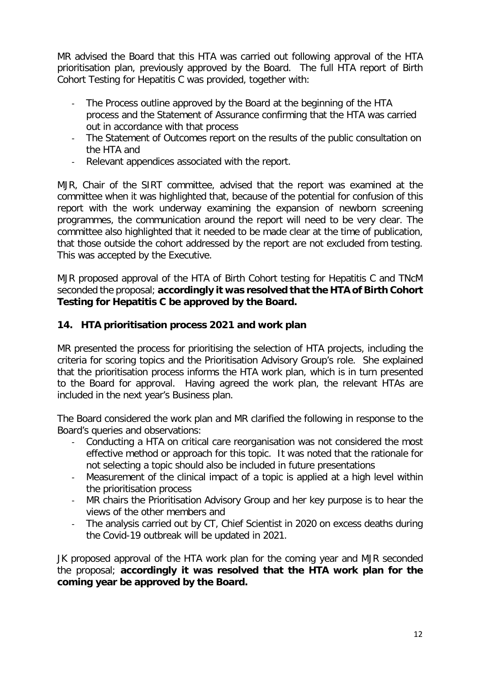MR advised the Board that this HTA was carried out following approval of the HTA prioritisation plan, previously approved by the Board. The full HTA report of Birth Cohort Testing for Hepatitis C was provided, together with:

- The Process outline approved by the Board at the beginning of the HTA process and the Statement of Assurance confirming that the HTA was carried out in accordance with that process
- The Statement of Outcomes report on the results of the public consultation on the HTA and
- Relevant appendices associated with the report.

MJR, Chair of the SIRT committee, advised that the report was examined at the committee when it was highlighted that, because of the potential for confusion of this report with the work underway examining the expansion of newborn screening programmes, the communication around the report will need to be very clear. The committee also highlighted that it needed to be made clear at the time of publication, that those outside the cohort addressed by the report are not excluded from testing. This was accepted by the Executive.

MJR proposed approval of the HTA of Birth Cohort testing for Hepatitis C and TNcM seconded the proposal; **accordingly it was resolved that the HTA of Birth Cohort Testing for Hepatitis C be approved by the Board.**

### **14. HTA prioritisation process 2021 and work plan**

MR presented the process for prioritising the selection of HTA projects, including the criteria for scoring topics and the Prioritisation Advisory Group's role. She explained that the prioritisation process informs the HTA work plan, which is in turn presented to the Board for approval. Having agreed the work plan, the relevant HTAs are included in the next year's Business plan.

The Board considered the work plan and MR clarified the following in response to the Board's queries and observations:

- Conducting a HTA on critical care reorganisation was not considered the most effective method or approach for this topic. It was noted that the rationale for not selecting a topic should also be included in future presentations
- Measurement of the clinical impact of a topic is applied at a high level within the prioritisation process
- MR chairs the Prioritisation Advisory Group and her key purpose is to hear the views of the other members and
- The analysis carried out by CT, Chief Scientist in 2020 on excess deaths during the Covid-19 outbreak will be updated in 2021.

JK proposed approval of the HTA work plan for the coming year and MJR seconded the proposal; **accordingly it was resolved that the HTA work plan for the coming year be approved by the Board.**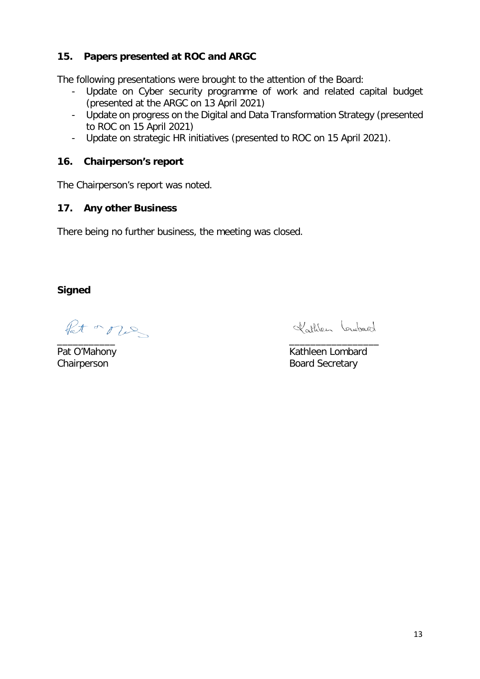## **15. Papers presented at ROC and ARGC**

The following presentations were brought to the attention of the Board:

- Update on Cyber security programme of work and related capital budget (presented at the ARGC on 13 April 2021)
- Update on progress on the Digital and Data Transformation Strategy (presented to ROC on 15 April 2021)
- Update on strategic HR initiatives (presented to ROC on 15 April 2021).

### **16. Chairperson's report**

The Chairperson's report was noted.

### **17. Any other Business**

There being no further business, the meeting was closed.

**Signed**

Pat or ones \_\_\_\_\_\_\_\_\_\_\_ \_\_\_\_\_\_\_\_\_\_\_\_\_\_\_\_\_

Kathlen Loubard

Pat O'Mahony **Kathleen Lombard** Chairperson **Board Secretary**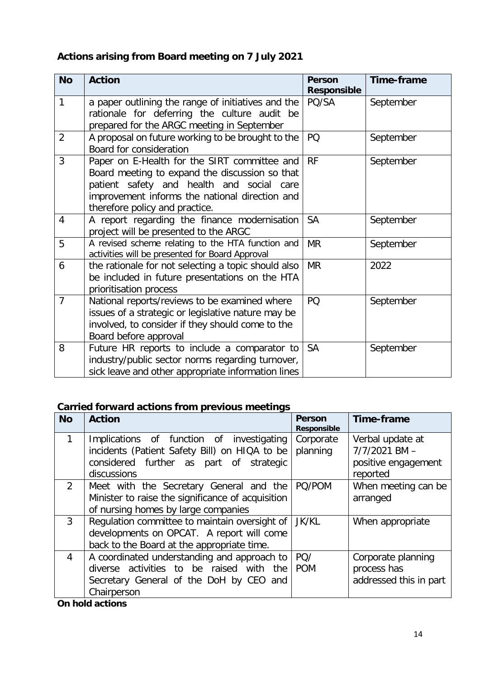# **Actions arising from Board meeting on 7 July 2021**

| <b>No</b>      | <b>Action</b>                                                                                                                                                                                                                   | <b>Person</b><br><b>Responsible</b> | Time-frame |
|----------------|---------------------------------------------------------------------------------------------------------------------------------------------------------------------------------------------------------------------------------|-------------------------------------|------------|
| 1              | a paper outlining the range of initiatives and the<br>rationale for deferring the culture audit be<br>prepared for the ARGC meeting in September                                                                                | PQ/SA                               | September  |
| $\overline{2}$ | A proposal on future working to be brought to the<br>Board for consideration                                                                                                                                                    | PQ                                  | September  |
| 3              | Paper on E-Health for the SIRT committee and<br>Board meeting to expand the discussion so that<br>patient safety and health and social care<br>improvement informs the national direction and<br>therefore policy and practice. | <b>RF</b>                           | September  |
| 4              | A report regarding the finance modernisation<br>project will be presented to the ARGC                                                                                                                                           | <b>SA</b>                           | September  |
| 5              | A revised scheme relating to the HTA function and<br>activities will be presented for Board Approval                                                                                                                            | <b>MR</b>                           | September  |
| 6              | the rationale for not selecting a topic should also<br>be included in future presentations on the HTA<br>prioritisation process                                                                                                 | <b>MR</b>                           | 2022       |
| $\overline{7}$ | National reports/reviews to be examined where<br>issues of a strategic or legislative nature may be<br>involved, to consider if they should come to the<br>Board before approval                                                | PQ                                  | September  |
| 8              | Future HR reports to include a comparator to<br>industry/public sector norms regarding turnover,<br>sick leave and other appropriate information lines                                                                          | <b>SA</b>                           | September  |

# **Carried forward actions from previous meetings**

| <b>No</b>      | <b>Action</b>                                     | <b>Person</b><br><b>Responsible</b> | <b>Time-frame</b>      |
|----------------|---------------------------------------------------|-------------------------------------|------------------------|
|                | Implications of function of investigating         | Corporate                           | Verbal update at       |
|                | incidents (Patient Safety Bill) on HIQA to be     | planning                            | $7/7/2021$ BM $-$      |
|                | considered further as part of strategic           |                                     | positive engagement    |
|                | discussions                                       |                                     | reported               |
| $\overline{2}$ | Meet with the Secretary General and the           | PQ/POM                              | When meeting can be    |
|                | Minister to raise the significance of acquisition |                                     | arranged               |
|                | of nursing homes by large companies               |                                     |                        |
| $\mathbf{3}$   | Regulation committee to maintain oversight of     | <b>JK/KL</b>                        | When appropriate       |
|                | developments on OPCAT. A report will come         |                                     |                        |
|                | back to the Board at the appropriate time.        |                                     |                        |
| $\overline{4}$ | A coordinated understanding and approach to       | PQ/                                 | Corporate planning     |
|                | diverse activities to be raised with<br>the       | <b>POM</b>                          | process has            |
|                | Secretary General of the DoH by CEO and           |                                     | addressed this in part |
|                | Chairperson                                       |                                     |                        |

#### **On hold actions**